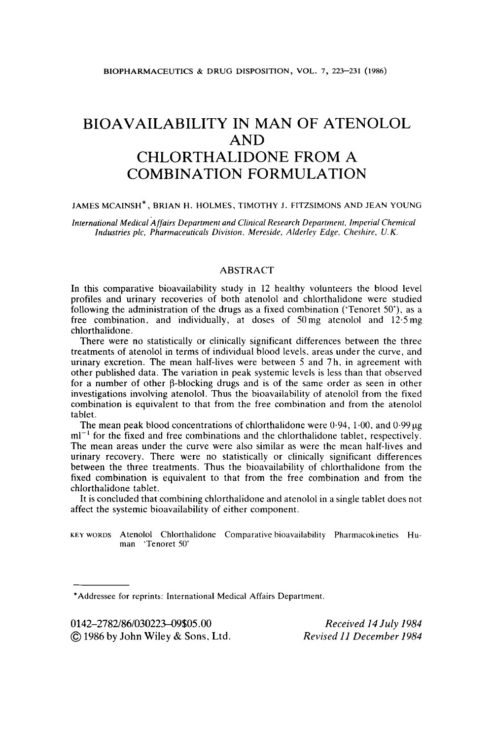# BIOAVAILABILITY IN MAN OF ATENOLOL AND CHLORTHALIDONE FROM A COMBINATION FORMULATION

#### JAMES MCAINSH\*, BRIAN H. HOLMES, TIMOTHY J. FITZSIMONS AND JEAN YOUNG

*International Medical Affairs Department and Clinical Research Department. Imperial Chemical Industries plc, Pharmaceuticals Division. Mereside, Alderley Edge, Cheshire, U. K.* 

### ABSTRACT

In this comparative bioavailability study in **12** healthy volunteers the blood level profiles and urinary recoveries of both atenolol and chlorthalidone were studied following the administration of the drugs as a fixed combination ('Tenoret *50').* as a free combination, and individually, at doses of 50mg atenolol and 12.5mg chlorthalidone.

There were no statistically or clinically significant differences between the three treatments of atenolol in terms of individual blood levels, areas under the curve, and urinary excretion. The mean half-lives were between *5* and **7** h, in agreement with other published data. The variation in peak systemic levels is less than that observed for a number of other @-blocking drugs and is of the same order as seen in other investigations involving atenolol. Thus the bioavailability of atenolol from the fixed combination is equivalent to that from the free combination and from the atenolol tablet.

The mean peak blood concentrations of chlorthalidone were  $0.94$ ,  $1.00$ , and  $0.99 \mu$ g  $ml^{-1}$  for the fixed and free combinations and the chlorthalidone tablet, respectively. The mean areas under the curve were also similar as were the mean half-lives and urinary recovery. There were no statistically or clinically significant differences between the three treatments. Thus the bioavailability of chlorthalidone from the fixed combination is equivalent to that from the free combination and from the chlorthalidone tablet.

It is concluded that combining chlorthalidone and atenolol in a single tablet does not affect the systemic bioavailability of either component.

**KEY WORDS** Atenolol Chlorthalidone Comparative bioavailability Pharmacokinetics Human 'Tenoret SO'

\*Addressee for reprints: International Medical Affairs Department.

0142-2782/86/030223-09\$05.00 *0* 1986 by John **Wiley** & **Sons,** Ltd.

*Received I4 July 1984 Revised 11 December 1984*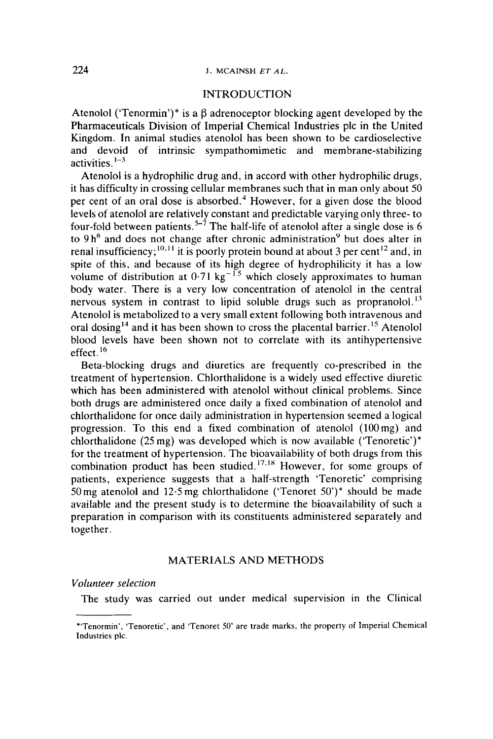### 224 **J. MCAINSH** *ET AL.*

### INTRODUCTION

Atenolol ('Tenormin')\* is a  $\beta$  adrenoceptor blocking agent developed by the Pharmaceuticals Division of Imperial Chemical Industries pic in the United Kingdom. In animal studies atenolol has been shown to be cardioselective and devoid of intrinsic sympathomimetic and membrane-stabilizing activities. $1-3$ 

Atenolol is a hydrophilic drug and, in accord with other hydrophilic drugs, it has difficulty in crossing cellular membranes such that in man only about 50 per cent of an oral dose is absorbed. $4$  However, for a given dose the blood levels of atenolol are relatively constant and predictable varying only three- to four-fold between patients.<sup> $5-\frac{7}{7}$ </sup> The half-life of atenolol after a single dose is 6 to  $9h<sup>8</sup>$  and does not change after chronic administration<sup>9</sup> but does alter in renal insufficiency;<sup>10,11</sup> it is poorly protein bound at about 3 per cent<sup>12</sup> and, in spite of this, and because of its high degree of hydrophilicity it has a low volume of distribution at  $0.71 \text{ kg}^{-15}$  which closely approximates to human body water. There is a very low concentration of atenolol in the central nervous system in contrast to lipid soluble drugs such as propranolol.<sup>13</sup> Atenolol is metabolized to a very small extent following both intravenous and oral dosing<sup>14</sup> and it has been shown to cross the placental barrier.<sup>15</sup> Atenolol blood levels have been shown not to correlate with its antihypertensive effect. **l6** 

Beta-blocking drugs and diuretics are frequently co-prescribed in the treatment of hypertension. Chlorthalidone is a widely used effective diuretic which has been administered with atenolol without clinical problems. Since both drugs are administered once daily a fixed combination of atenolol and chlorthalidone for once daily administration in hypertension seemed a logical progression. To this end a fixed combination of atenolol (l00mg) and chlorthalidone (25 mg) was developed which is now available ('Tenoretic')\* for the treatment of hypertension. The bioavailability of both drugs from this combination product has been studied.<sup>17,18</sup> However, for some groups of patients, experience suggests that a half-strength 'Tenoretic' comprising 50mg atenolol and 12.5 mg chlorthalidone ('Tenoret *50')\** should be made available and the present study is to determine the bioavailability of such a preparation in comparison with its constituents administered separately and together.

# MATERIALS AND METHODS

*Volunteer selection* 

The study was carried out under medical supervision in the Clinical

<sup>\*&#</sup>x27;Tenormin', 'Tenoretic', and 'Tenoret 50' are trade marks, the property **of** Imperial Chemical Industries plc.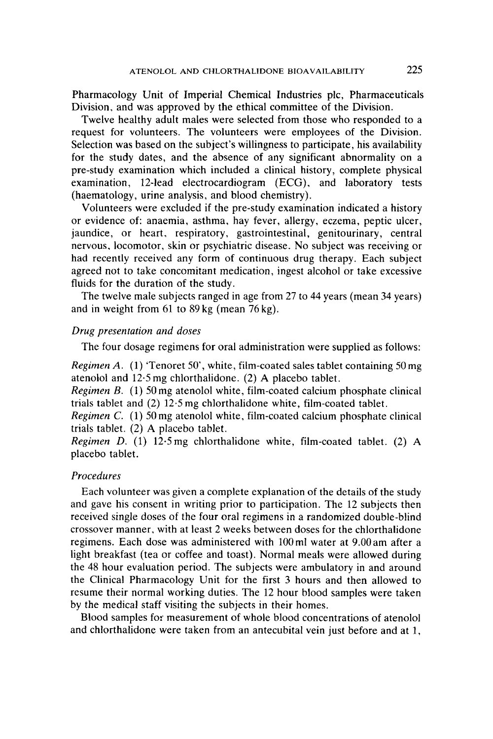Pharmacology Unit of Imperial Chemical Industries plc, Pharmaceuticals Division, and was approved by the ethical committee of the Division.

Twelve healthy adult males were selected from those who responded to a request for volunteers. The volunteers were employees of the Division. Selection was based on the subject's willingness to participate, his availability for the study dates, and the absence of any significant abnormality on a pre-study examination which included a clinical history, complete physical examination, 12-lead electrocardiogram (ECG), and laboratory tests (haematology, urine analysis, and blood chemistry).

Volunteers were excluded if the pre-study examination indicated a history or evidence of: anaemia, asthma, hay fever, allergy, eczema, peptic ulcer, jaundice, or heart, respiratory, gastrointestinal, genitourinary, central nervous, locomotor, skin or psychiatric disease. No subject was receiving or had recently received any form of continuous drug therapy. Each subject agreed not to take concomitant medication, ingest alcohol or take excessive fluids for the duration of the study.

The twelve male subjects ranged in age from 27 to **44** years (mean 34 years) and in weight from 61 to **89** kg (mean 76 kg).

### *Drug presentation and doses*

The four dosage regimens for oral administration were supplied as follows:

*Regimen A.* (1) 'Tenoret 50', white, film-coated sales tablet containing 50 mg atenolol and 12.5 mg chlorthalidone. (2) **A** placebo tablet.

*Regimen B.* (1) *50* mg atenolol white, film-coated calcium phosphate clinical trials tablet and (2) 12.5 mg chlorthalidone white, film-coated tablet.

*Regimen C.* (1) *50* mg atenolol white, film-coated calcium phosphate clinical trials tablet. (2) **A** placebo tablet.

*Regimen D.* (1) 12.5 mg chlorthalidone white, film-coated tablet. (2) **A**  placebo tablet.

### *Procedures*

Each volunteer was given a complete explanation of the details of the study and gave his consent in writing prior to participation. The 12 subjects then received single doses of the four oral regimens in a randomized double-blind crossover manner, with at least 2 weeks between doses for the chlorthalidone regimens. Each dose was administered with 100 ml water at 9.00 am after a light breakfast (tea or coffee and toast). Normal meals were allowed during the 48 hour evaluation period. The subjects were ambulatory in and around the Clinical Pharmacology Unit for the first **3** hours and then allowed to resume their normal working duties. The 12 hour blood samples were taken by the medical staff visiting the subjects in their homes.

Blood samples for measurement of whole blood concentrations of atenolol and chlorthalidone were taken from an antecubital vein just before and at 1,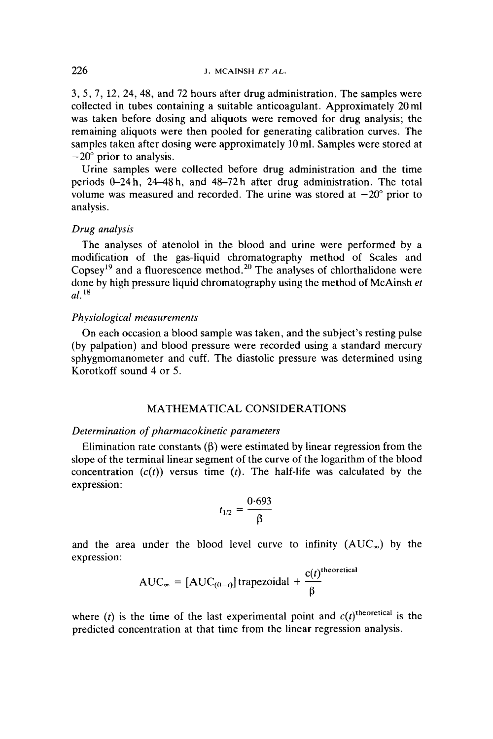*3, 5,* 7, 12, 24,48, and 72 hours after drug administration. The samples were collected in tubes containing a suitable anticoagulant. Approximately 20 ml was taken before dosing and aliquots were removed for drug analysis; the remaining aliquots were then pooled for generating calibration curves. The samples taken after dosing were approximately 10 ml. Samples were stored at  $-20^{\circ}$  prior to analysis.

Urine samples were collected before drug administration and the time periods 0-24h, 2448h, and 48-72h after drug administration. The total volume was measured and recorded. The urine was stored at  $-20^{\circ}$  prior to analysis.

### *Drug analysis*

The analyses of atenolol in the blood and urine were performed by a modification of the gas-liquid chromatography method of Scales and Copsey<sup>19</sup> and a fluorescence method.<sup>20</sup> The analyses of chlorthalidone were done by high pressure liquid chromatography using the method of McAinsh *et*   $a^2$ <sup>18</sup>

### *Physiological measurements*

On each occasion a blood sample was taken, and the subject's resting pulse (by palpation) and blood pressure were recorded using a standard mercury sphygmomanometer and cuff. The diastolic pressure was determined using Korotkoff sound 4 or *5.* 

# MATHEMATICAL CONSIDERATIONS

### *Determination of pharmacokinetic parameters*

Elimination rate constants  $(\beta)$  were estimated by linear regression from the slope of the terminal linear segment of the curve of the logarithm of the blood concentration  $(c(t))$  versus time  $(t)$ . The half-life was calculated by the expression:

$$
t_{1/2} = \frac{0.693}{\beta}
$$

and the area under the blood level curve to infinity  $(AUC_{\infty})$  by the expression:<br>  $AUC_{\infty} = [AUC_{(0-t)}]$  trapezoidal  $+ \frac{c(t)^{\text{theoretical}}}{\beta}$ expression:

$$
AUC_{\infty} = [AUC_{(0-t)}] trapezoidal + \frac{c(t)^{theoretical}}{\beta}
$$

where (t) is the time of the last experimental point and  $c(t)$ <sup>theoretical</sup> is the predicted concentration at that time from the linear regression analysis.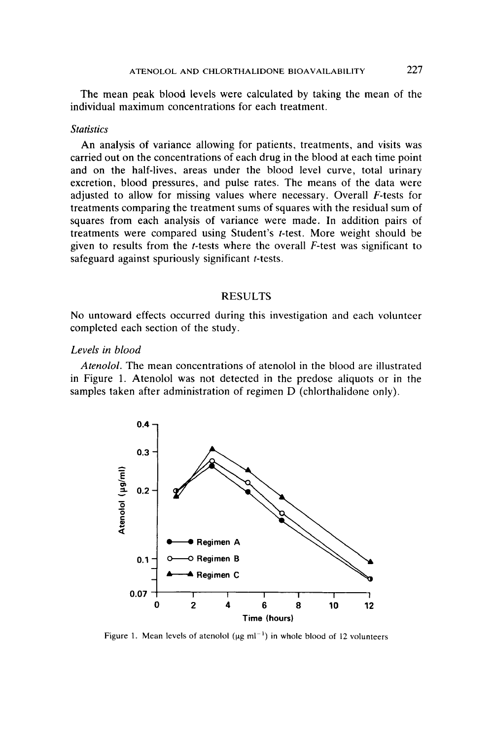The mean peak blood levels were calculated by taking the mean of the individual maximum concentrations for each treatment.

### *Statistics*

**An** analysis of variance allowing for patients, treatments, and visits was carried out on the concentrations of each drug in the blood at each time point and on the half-lives, areas under the blood level curve, total urinary excretion, blood pressures, and pulse rates. The means of the data were adjusted to allow for missing values where necessary. Overall F-tests for treatments comparing the treatment sums of squares with the residual sum of squares from each analysis of variance were made. In addition pairs of treatments were compared using Student's f-test. More weight should be given to results from the t-tests where the overall F-test was significant to safeguard against spuriously significant *t*-tests.

### RESULTS

No untoward effects occurred during this investigation and each volunteer completed each section of the study.

# *Levels in blood*

*Atenolol.* The mean concentrations of atenolol in the blood are illustrated in Figure 1. Atenolol was not detected in the predose aliquots or in the samples taken after administration of regimen D (chlorthalidone only).



Figure 1. Mean levels of atenolol  $(\mu g \text{ ml}^{-1})$  in whole blood of 12 volunteers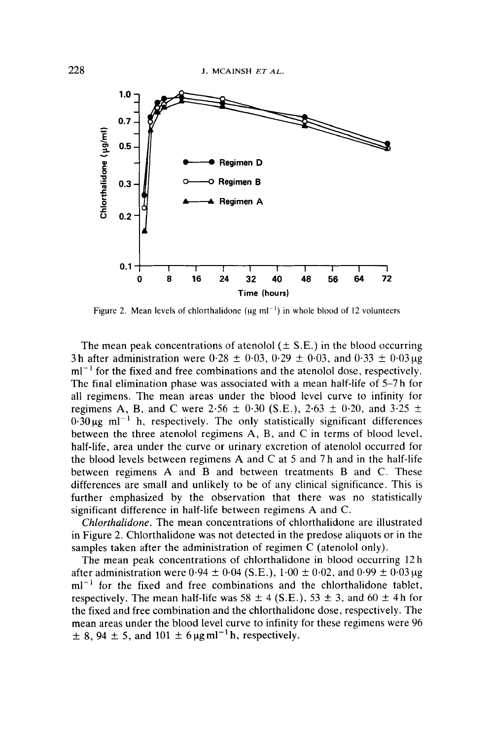

Figure 2. Mean levels of chlorthalidone ( $\mu$ g ml<sup>-1</sup>) in whole blood of 12 volunteers

The mean peak concentrations of atenolol ( $\pm$  S.E.) in the blood occurring 3h after administration were  $0.28 \pm 0.03$ ,  $0.29 \pm 0.03$ , and  $0.33 \pm 0.03 \mu$ g  $ml^{-1}$  for the fixed and free combinations and the atenolol dose, respectively. The final elimination phase was associated with a mean half-life of 5-7 h for all regimens. The mean areas under the blood level curve to infinity for regimens A, B, and C were 2.56  $\pm$  0.30 (S.E.), 2.63  $\pm$  0.20, and 3.25  $\pm$  $0.30 \text{ kg}$  ml<sup>-1</sup> h, respectively. The only statistically significant differences between the three atenolol regimens **A,** B, and C in terms of blood level, half-life. area under the curve or urinary excretion of atenolol occurred for the blood levels between regimens **A** and C at *5* and 7 h and in the half-life between regimens **A** and B and between treatments B and C. These differences are small and unlikely to be of any clinical significance. This is further emphasized by the observation that there was no statistically significant difference in half-life between regimens **A** and C.

*Chlorthalidone.* The mean concentrations of chlorthalidone are illustrated in Figure 2. Chlorthalidone was not detected in the predose aliquots or in the samples taken after the administration of regimen C (atenolol only).

The mean peak concentrations of chlorthalidone in blood occurring 12 h after administration were  $0.94 \pm 0.04$  (S.E.),  $1.00 \pm 0.02$ , and  $0.99 \pm 0.03 \mu$ g  $ml^{-1}$  for the fixed and free combinations and the chlorthalidone tablet, respectively. The mean half-life was  $58 \pm 4$  (S.E.),  $53 \pm 3$ , and  $60 \pm 4$ h for the fixed and free combination and the chlorthalidone dose, respectively. The mean areas under the blood level curve to infinity for these regimens were 96  $\pm$  8, 94  $\pm$  5, and 101  $\pm$  6  $\mu$ gml<sup>-1</sup>h, respectively.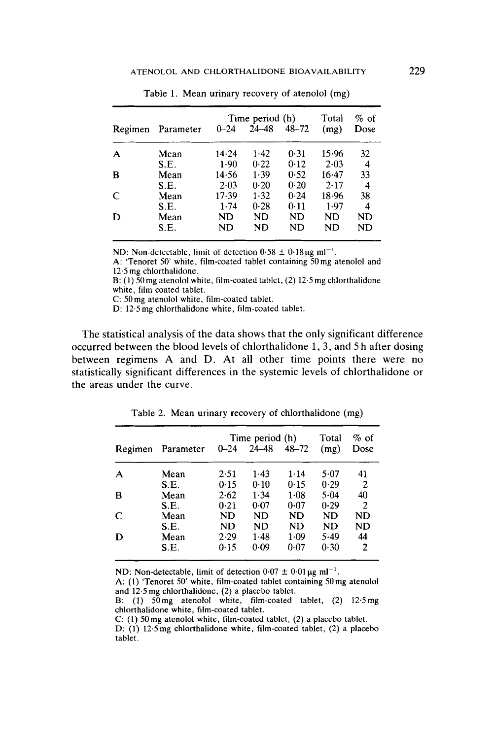|   |                   | Time period (h) |           |           | Total     | $%$ of |
|---|-------------------|-----------------|-----------|-----------|-----------|--------|
|   | Regimen Parameter | $0 - 24$        | $24 - 48$ | $48 - 72$ | (mg)      | Dose   |
| A | Mean              | 14.24           | $1-42$    | 0.31      | 15.96     | 32     |
|   | S.E.              | 1.90            | 0.22      | 0.12      | 2.03      | 4      |
| в | Mean              | 14.56           | 1.39      | 0.52      | 16.47     | 33     |
|   | S.E.              | 2.03            | $0-20$    | 0.20      | 2.17      | 4      |
| C | Mean              | 17.39           | 1.32      | 0.24      | 18.96     | 38     |
|   | S.E.              | 1.74            | 0.28      | 0.11      | 1.97      | 4      |
| D | Mean              | ND              | ND        | <b>ND</b> | ND        | ND     |
|   | S.E.              | ND              | ND        | ND        | <b>ND</b> | ND     |

Table 1. Mean urinary recovery of atenolol (mg)

ND: Non-detectable, limit of detection  $0.58 \pm 0.18 \,\mu g$  ml<sup>-1</sup>.

**A:** 'Tenoret 50' white, film-coated tablet containing *50* mg atenolol and 12.5 mg chlorthalidone.

B: **(1)** 50 mg atenolol white, film-coated tablet, (2) 12.5 mg chlorthalidone white, film coated tablet.

*C:* 50mg atenolol white. film-coated tablet.

D: 12.5 mg chlorthalidone white, film-coated tablet.

The statistical analysis of the data shows that the only significant difference occurred between the blood levels of chlorthalidone 1, **3,** and *5* h after dosing between regimens A and D. At all other time points there were no statistically significant differences in the systemic levels of chlorthalidone or the areas under the curve.

|              |           | Time period (h) |        |          | Total     | $%$ of |
|--------------|-----------|-----------------|--------|----------|-----------|--------|
| Regimen      | Parameter | $0 - 24$        | 24–48  | 48-72    | (mg)      | Dose   |
| $\mathbf A$  | Mean      | 2.51            | $1-43$ | 1.14     | 5.07      | 41     |
|              | S.E.      | 0.15            | 0.10   | 0.15     | 0.29      | 2      |
| B            | Mean      | 2.62            | 1.34   | $1 - 08$ | 5.04      | 40     |
|              | S.E.      | 0.21            | 0.07   | 0.07     | 0.29      | 2      |
| $\mathbb{C}$ | Mean      | ND              | ND.    | ND       | ND        | ND     |
|              | S.E.      | ND              | ND     | ND       | <b>ND</b> | ND     |
| D            | Mean      | 2.29            | 1.48   | 1.09     | 5.49      | 44     |
|              | S.E.      | 0.15            | 0.09   | 0.07     | 0.30      | 2      |

Table 2. Mean urinary recovery of chlorthalidone (mg)

ND: Non-detectable, limit of detection  $0.07 \pm 0.01 \,\mu g \text{ ml}^{-1}$ .

A: (1) 'Tenoret 50' white, film-coated tablet containing 50 mg atenolol and 12.5 mg chlorthalidone, (2) a placebo tablet.

B: (1) 50mg atenolol white, film-coated tablet, **(2)** 12.5mg chlorthalidone white, film-coated tablet.

*C:* **(1)** 50mg atenolol white, film-coated tablet, **(2)** a placebo tablet.

D: **(1)** 12.5mg chlorthalidone white, film-coated tablet, (2) a placebo tablet.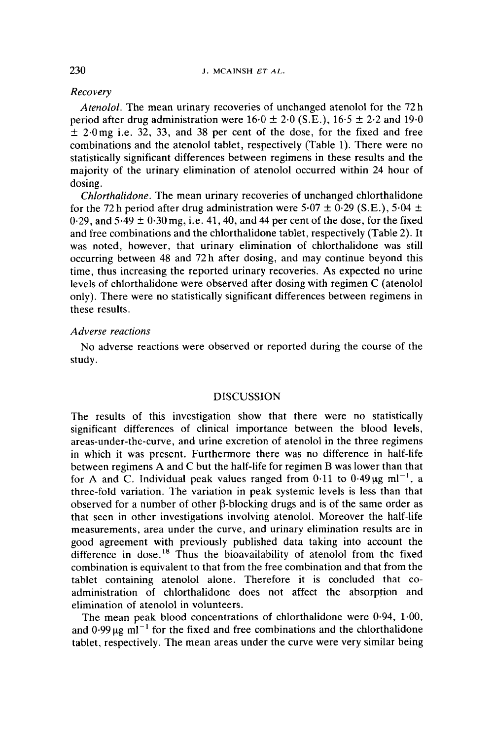### *Recovery*

*Atenolol.* The mean urinary recoveries of unchanged atenolol for the **72** h period after drug administration were  $16.0 \pm 2.0$  (S.E.),  $16.5 \pm 2.2$  and  $19.0$  $\pm$  2.0mg i.e. 32, 33, and 38 per cent of the dose, for the fixed and free combinations and the atenolol tablet, respectively (Table **1).** There were no statistically significant differences between regimens in these results and the majority of the urinary elimination of atenolol occurred within **24** hour of dosing.

*Chlorthalidone.* The mean urinary recoveries of unchanged chlorthalidone for the 72 h period after drug administration were  $5.07 \pm 0.29$  (S.E.),  $5.04 \pm 0.29$  $0.29$ , and  $5.49 \pm 0.30$  mg, i.e.  $41, 40$ , and  $44$  per cent of the dose, for the fixed and free combinations and the chlorthalidone tablet, respectively (Table 2). It was noted, however, that urinary elimination of chlorthalidone was still occurring between **48** and **72** h after dosing, and may continue beyond this time, thus increasing the reported urinary recoveries. **As** expected no urine levels of chlorthalidone were observed after dosing with regimen C (atenolol only). There were no statistically significant differences between regimens in these results.

### *Adverse reactions*

study. **No** adverse reactions were observed or reported during the course of the

### **DISCUSSION**

The results of this investigation show that there were no statistically significant differences of clinical importance between the blood levels, areas-under-the-curve, and urine excretion of atenolol in the three regimens in which it was present. Furthermore there was no difference in half-life between regimens **A** and **C** but the half-life for regimen B was lower than that for A and C. Individual peak values ranged from  $0.11$  to  $0.49 \mu g$  ml<sup>-1</sup>, a three-fold variation. The variation in peak systemic levels is less than that observed for a number of other  $\beta$ -blocking drugs and is of the same order as that seen in other investigations involving atenolol. Moreover the half-life measurements, area under the curve, and urinary elimination results are in good agreement with previously published data taking into account the difference in dose.<sup>18</sup> Thus the bioavailability of atenolol from the fixed combination is equivalent to that from the free combination and that from the tablet containing atenolol alone. Therefore it is concluded that coadministration of chlorthalidone does not affect the absorption and elimination of atenolol in volunteers.

The mean peak blood concentrations of chlorthalidone were **0.94,** 1.00, and  $0.99 \mu$ g ml<sup>-1</sup> for the fixed and free combinations and the chlorthalidone tablet, respectively. The mean areas under the curve were very similar being